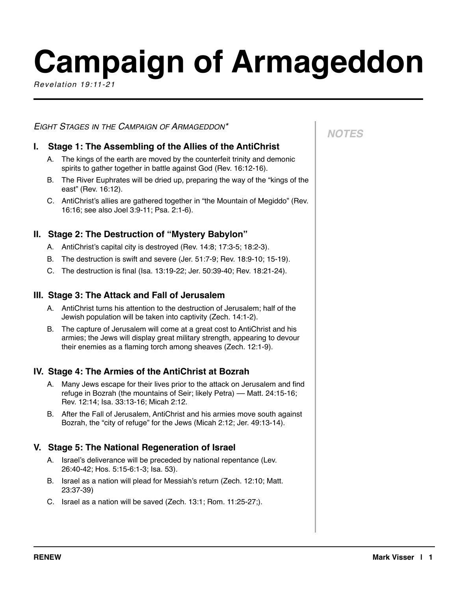# **Campaign of Armageddon**

*Revelation 19:11-21*

## *EIGHT STAGES IN THE CAMPAIGN OF ARMAGEDDON\**

# **I. Stage 1: The Assembling of the Allies of the AntiChrist**

- A. The kings of the earth are moved by the counterfeit trinity and demonic spirits to gather together in battle against God (Rev. 16:12-16).
- B. The River Euphrates will be dried up, preparing the way of the "kings of the east" (Rev. 16:12).
- C. AntiChrist's allies are gathered together in "the Mountain of Megiddo" (Rev. 16:16; see also Joel 3:9-11; Psa. 2:1-6).

# **II. Stage 2: The Destruction of "Mystery Babylon"**

- A. AntiChrist's capital city is destroyed (Rev. 14:8; 17:3-5; 18:2-3).
- B. The destruction is swift and severe (Jer. 51:7-9; Rev. 18:9-10; 15-19).
- C. The destruction is final (Isa. 13:19-22; Jer. 50:39-40; Rev. 18:21-24).

#### **III. Stage 3: The Attack and Fall of Jerusalem**

- A. AntiChrist turns his attention to the destruction of Jerusalem; half of the Jewish population will be taken into captivity (Zech. 14:1-2).
- B. The capture of Jerusalem will come at a great cost to AntiChrist and his armies; the Jews will display great military strength, appearing to devour their enemies as a flaming torch among sheaves (Zech. 12:1-9).

# **IV. Stage 4: The Armies of the AntiChrist at Bozrah**

- A. Many Jews escape for their lives prior to the attack on Jerusalem and find refuge in Bozrah (the mountains of Seir; likely Petra) — Matt. 24:15-16; Rev. 12:14; Isa. 33:13-16; Micah 2:12.
- B. After the Fall of Jerusalem, AntiChrist and his armies move south against Bozrah, the "city of refuge" for the Jews (Micah 2:12; Jer. 49:13-14).

# **V. Stage 5: The National Regeneration of Israel**

- A. Israel's deliverance will be preceded by national repentance (Lev. 26:40-42; Hos. 5:15-6:1-3; Isa. 53).
- B. Israel as a nation will plead for Messiah's return (Zech. 12:10; Matt. 23:37-39)
- C. Israel as a nation will be saved (Zech. 13:1; Rom. 11:25-27;).

# *NOTES*